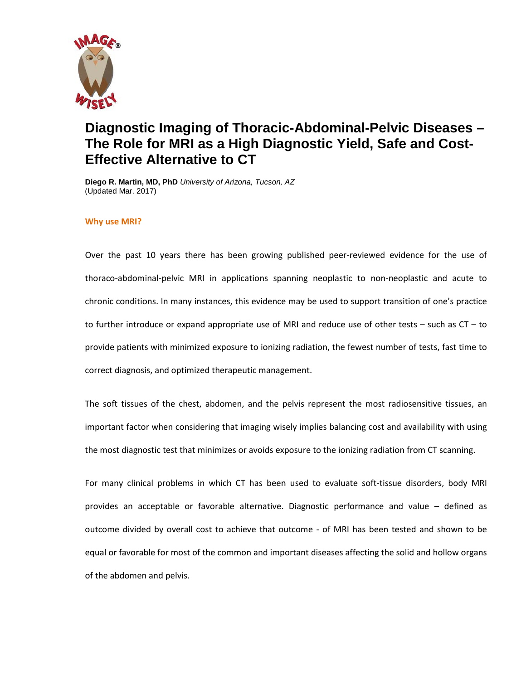

# **Diagnostic Imaging of Thoracic-Abdominal-Pelvic Diseases – The Role for MRI as a High Diagnostic Yield, Safe and Cost-Effective Alternative to CT**

**Diego R. Martin, MD, PhD** *University of Arizona, Tucson, AZ* (Updated Mar. 2017)

## **Why use MRI?**

Over the past 10 years there has been growing published peer-reviewed evidence for the use of thoraco-abdominal-pelvic MRI in applications spanning neoplastic to non-neoplastic and acute to chronic conditions. In many instances, this evidence may be used to support transition of one's practice to further introduce or expand appropriate use of MRI and reduce use of other tests – such as CT – to provide patients with minimized exposure to ionizing radiation, the fewest number of tests, fast time to correct diagnosis, and optimized therapeutic management.

The soft tissues of the chest, abdomen, and the pelvis represent the most radiosensitive tissues, an important factor when considering that imaging wisely implies balancing cost and availability with using the most diagnostic test that minimizes or avoids exposure to the ionizing radiation from CT scanning.

For many clinical problems in which CT has been used to evaluate soft-tissue disorders, body MRI provides an acceptable or favorable alternative. Diagnostic performance and value – defined as outcome divided by overall cost to achieve that outcome - of MRI has been tested and shown to be equal or favorable for most of the common and important diseases affecting the solid and hollow organs of the abdomen and pelvis.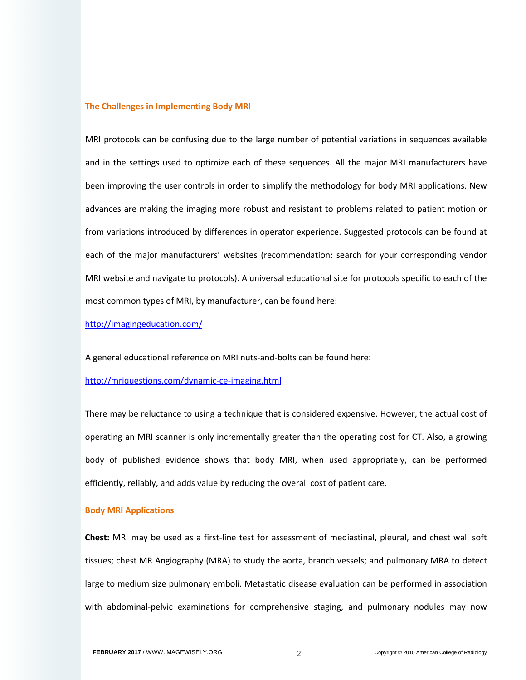#### **The Challenges in Implementing Body MRI**

MRI protocols can be confusing due to the large number of potential variations in sequences available and in the settings used to optimize each of these sequences. All the major MRI manufacturers have been improving the user controls in order to simplify the methodology for body MRI applications. New advances are making the imaging more robust and resistant to problems related to patient motion or from variations introduced by differences in operator experience. Suggested protocols can be found at each of the major manufacturers' websites (recommendation: search for your corresponding vendor MRI website and navigate to protocols). A universal educational site for protocols specific to each of the most common types of MRI, by manufacturer, can be found here:

<http://imagingeducation.com/>

A general educational reference on MRI nuts-and-bolts can be found here:

<http://mriquestions.com/dynamic-ce-imaging.html>

There may be reluctance to using a technique that is considered expensive. However, the actual cost of operating an MRI scanner is only incrementally greater than the operating cost for CT. Also, a growing body of published evidence shows that body MRI, when used appropriately, can be performed efficiently, reliably, and adds value by reducing the overall cost of patient care.

#### **Body MRI Applications**

**Chest:** MRI may be used as a first-line test for assessment of mediastinal, pleural, and chest wall soft tissues; chest MR Angiography (MRA) to study the aorta, branch vessels; and pulmonary MRA to detect large to medium size pulmonary emboli. Metastatic disease evaluation can be performed in association with abdominal-pelvic examinations for comprehensive staging, and pulmonary nodules may now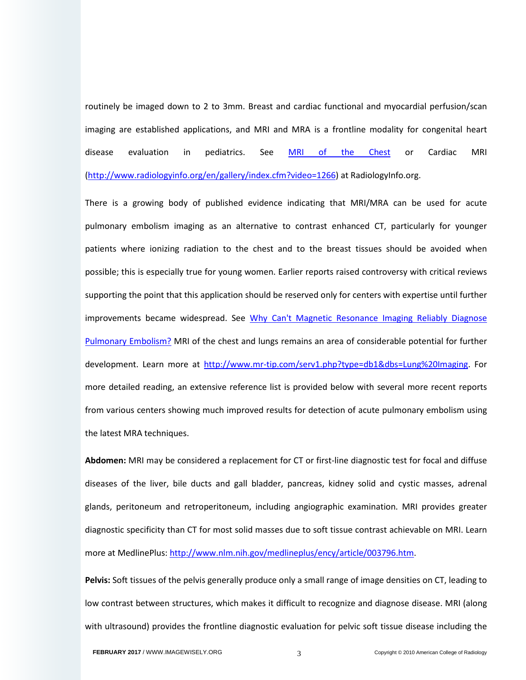routinely be imaged down to 2 to 3mm. Breast and cardiac functional and myocardial perfusion/scan imaging are established applications, and MRI and MRA is a frontline modality for congenital heart disease evaluation in pediatrics. See *[MRI of the Chest](http://www.radiologyinfo.org/en/info.cfm?pg=chestmr)* or Cardiac MRI [\(http://www.radiologyinfo.org/en/gallery/index.cfm?video=1266\)](http://www.radiologyinfo.org/en/gallery/index.cfm?video=1266) at RadiologyInfo.org.

There is a growing body of published evidence indicating that MRI/MRA can be used for acute pulmonary embolism imaging as an alternative to contrast enhanced CT, particularly for younger patients where ionizing radiation to the chest and to the breast tissues should be avoided when possible; this is especially true for young women. Earlier reports raised controversy with critical reviews supporting the point that this application should be reserved only for centers with expertise until further improvements became widespread. See Why Can't Magnetic Resonance Imaging Reliably Diagnose [Pulmonary Embolism?](http://www.annals.org/content/152/7/467.full) MRI of the chest and lungs remains an area of considerable potential for further development. Learn more at [http://www.mr-tip.com/serv1.php?type=db1&dbs=Lung%20Imaging.](http://www.mr-tip.com/serv1.php?type=db1&dbs=Lung%20Imaging) For more detailed reading, an extensive reference list is provided below with several more recent reports from various centers showing much improved results for detection of acute pulmonary embolism using the latest MRA techniques.

**Abdomen:** MRI may be considered a replacement for CT or first-line diagnostic test for focal and diffuse diseases of the liver, bile ducts and gall bladder, pancreas, kidney solid and cystic masses, adrenal glands, peritoneum and retroperitoneum, including angiographic examination. MRI provides greater diagnostic specificity than CT for most solid masses due to soft tissue contrast achievable on MRI. Learn more at MedlinePlus[: http://www.nlm.nih.gov/medlineplus/ency/article/003796.htm.](http://www.nlm.nih.gov/medlineplus/ency/article/003796.htm)

Pelvis: Soft tissues of the pelvis generally produce only a small range of image densities on CT, leading to low contrast between structures, which makes it difficult to recognize and diagnose disease. MRI (along with ultrasound) provides the frontline diagnostic evaluation for pelvic soft tissue disease including the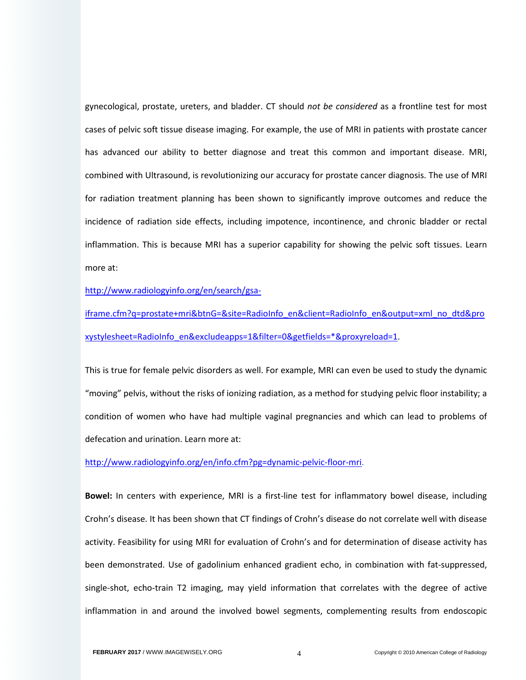gynecological, prostate, ureters, and bladder. CT should *not be considered* as a frontline test for most cases of pelvic soft tissue disease imaging. For example, the use of MRI in patients with prostate cancer has advanced our ability to better diagnose and treat this common and important disease. MRI, combined with Ultrasound, is revolutionizing our accuracy for prostate cancer diagnosis. The use of MRI for radiation treatment planning has been shown to significantly improve outcomes and reduce the incidence of radiation side effects, including impotence, incontinence, and chronic bladder or rectal inflammation. This is because MRI has a superior capability for showing the pelvic soft tissues. Learn more at:

[http://www.radiologyinfo.org/en/search/gsa-](http://www.radiologyinfo.org/en/search/gsa-iframe.cfm?q=prostate+mri&btnG=&site=RadioInfo_en&client=RadioInfo_en&output=xml_no_dtd&proxystylesheet=RadioInfo_en&excludeapps=1&filter=0&getfields=*&proxyreload=1)

[iframe.cfm?q=prostate+mri&btnG=&site=RadioInfo\\_en&client=RadioInfo\\_en&output=xml\\_no\\_dtd&pro](http://www.radiologyinfo.org/en/search/gsa-iframe.cfm?q=prostate+mri&btnG=&site=RadioInfo_en&client=RadioInfo_en&output=xml_no_dtd&proxystylesheet=RadioInfo_en&excludeapps=1&filter=0&getfields=*&proxyreload=1) [xystylesheet=RadioInfo\\_en&excludeapps=1&filter=0&getfields=\\*&proxyreload=1.](http://www.radiologyinfo.org/en/search/gsa-iframe.cfm?q=prostate+mri&btnG=&site=RadioInfo_en&client=RadioInfo_en&output=xml_no_dtd&proxystylesheet=RadioInfo_en&excludeapps=1&filter=0&getfields=*&proxyreload=1)

This is true for female pelvic disorders as well. For example, MRI can even be used to study the dynamic "moving" pelvis, without the risks of ionizing radiation, as a method for studying pelvic floor instability; a condition of women who have had multiple vaginal pregnancies and which can lead to problems of defecation and urination. Learn more at:

[http://www.radiologyinfo.org/en/info.cfm?pg=dynamic-pelvic-floor-mri.](http://www.radiologyinfo.org/en/info.cfm?pg=dynamic-pelvic-floor-mri)

**Bowel:** In centers with experience, MRI is a first-line test for inflammatory bowel disease, including Crohn's disease. It has been shown that CT findings of Crohn's disease do not correlate well with disease activity. Feasibility for using MRI for evaluation of Crohn's and for determination of disease activity has been demonstrated. Use of gadolinium enhanced gradient echo, in combination with fat-suppressed, single-shot, echo-train T2 imaging, may yield information that correlates with the degree of active inflammation in and around the involved bowel segments, complementing results from endoscopic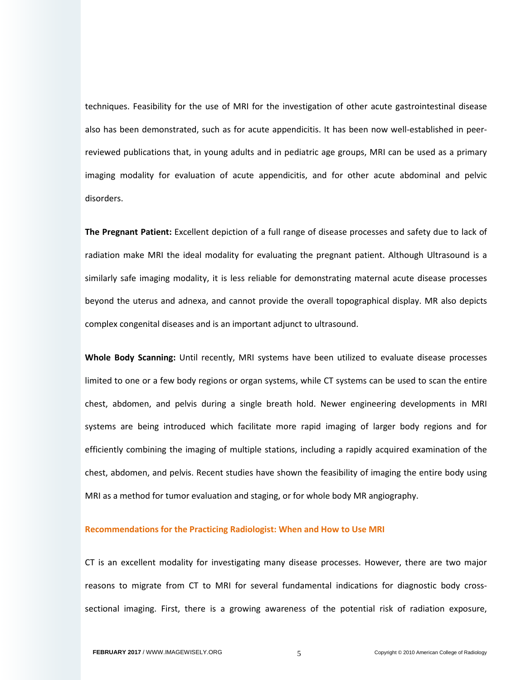techniques. Feasibility for the use of MRI for the investigation of other acute gastrointestinal disease also has been demonstrated, such as for acute appendicitis. It has been now well-established in peerreviewed publications that, in young adults and in pediatric age groups, MRI can be used as a primary imaging modality for evaluation of acute appendicitis, and for other acute abdominal and pelvic disorders.

**The Pregnant Patient:** Excellent depiction of a full range of disease processes and safety due to lack of radiation make MRI the ideal modality for evaluating the pregnant patient. Although Ultrasound is a similarly safe imaging modality, it is less reliable for demonstrating maternal acute disease processes beyond the uterus and adnexa, and cannot provide the overall topographical display. MR also depicts complex congenital diseases and is an important adjunct to ultrasound.

**Whole Body Scanning:** Until recently, MRI systems have been utilized to evaluate disease processes limited to one or a few body regions or organ systems, while CT systems can be used to scan the entire chest, abdomen, and pelvis during a single breath hold. Newer engineering developments in MRI systems are being introduced which facilitate more rapid imaging of larger body regions and for efficiently combining the imaging of multiple stations, including a rapidly acquired examination of the chest, abdomen, and pelvis. Recent studies have shown the feasibility of imaging the entire body using MRI as a method for tumor evaluation and staging, or for whole body MR angiography.

#### **Recommendations for the Practicing Radiologist: When and How to Use MRI**

CT is an excellent modality for investigating many disease processes. However, there are two major reasons to migrate from CT to MRI for several fundamental indications for diagnostic body crosssectional imaging. First, there is a growing awareness of the potential risk of radiation exposure,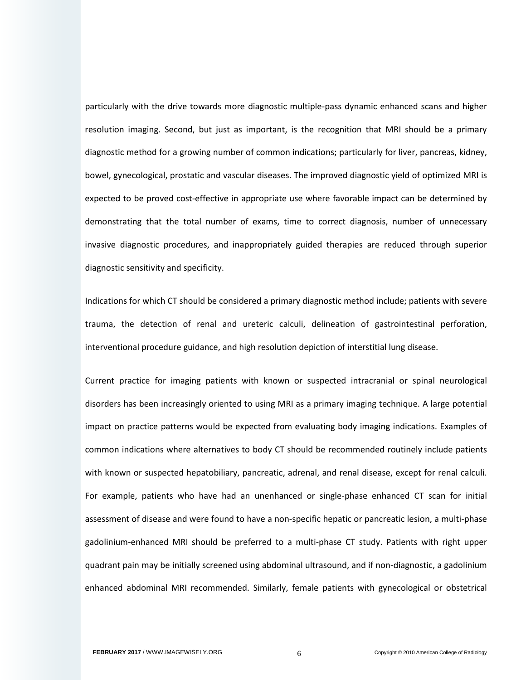particularly with the drive towards more diagnostic multiple-pass dynamic enhanced scans and higher resolution imaging. Second, but just as important, is the recognition that MRI should be a primary diagnostic method for a growing number of common indications; particularly for liver, pancreas, kidney, bowel, gynecological, prostatic and vascular diseases. The improved diagnostic yield of optimized MRI is expected to be proved cost-effective in appropriate use where favorable impact can be determined by demonstrating that the total number of exams, time to correct diagnosis, number of unnecessary invasive diagnostic procedures, and inappropriately guided therapies are reduced through superior diagnostic sensitivity and specificity.

Indications for which CT should be considered a primary diagnostic method include; patients with severe trauma, the detection of renal and ureteric calculi, delineation of gastrointestinal perforation, interventional procedure guidance, and high resolution depiction of interstitial lung disease.

Current practice for imaging patients with known or suspected intracranial or spinal neurological disorders has been increasingly oriented to using MRI as a primary imaging technique. A large potential impact on practice patterns would be expected from evaluating body imaging indications. Examples of common indications where alternatives to body CT should be recommended routinely include patients with known or suspected hepatobiliary, pancreatic, adrenal, and renal disease, except for renal calculi. For example, patients who have had an unenhanced or single-phase enhanced CT scan for initial assessment of disease and were found to have a non-specific hepatic or pancreatic lesion, a multi-phase gadolinium-enhanced MRI should be preferred to a multi-phase CT study. Patients with right upper quadrant pain may be initially screened using abdominal ultrasound, and if non-diagnostic, a gadolinium enhanced abdominal MRI recommended. Similarly, female patients with gynecological or obstetrical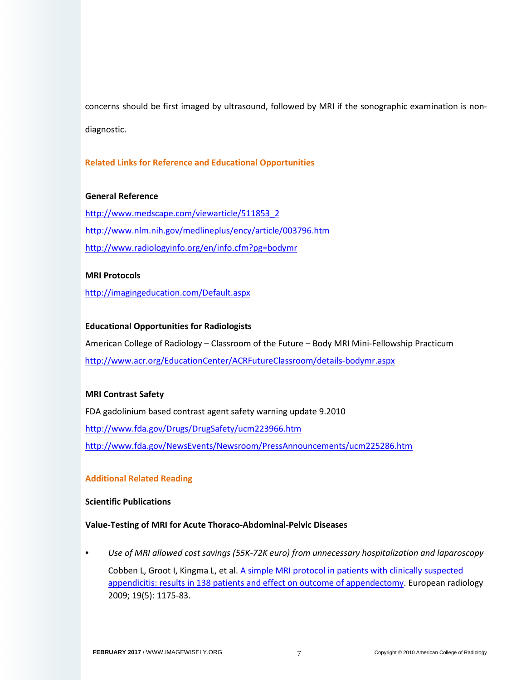concerns should be first imaged by ultrasound, followed by MRI if the sonographic examination is nondiagnostic.

# **Related Links for Reference and Educational Opportunities**

## **General Reference**

[http://www.medscape.com/viewarticle/511853\\_2](http://www.medscape.com/viewarticle/511853_2) <http://www.nlm.nih.gov/medlineplus/ency/article/003796.htm> <http://www.radiologyinfo.org/en/info.cfm?pg=bodymr>

## **MRI Protocols**

<http://imagingeducation.com/Default.aspx>

## **Educational Opportunities for Radiologists**

American College of Radiology – Classroom of the Future – Body MRI Mini-Fellowship Practicum <http://www.acr.org/EducationCenter/ACRFutureClassroom/details-bodymr.aspx>

## **MRI Contrast Safety**

FDA gadolinium based contrast agent safety warning update 9.2010

<http://www.fda.gov/Drugs/DrugSafety/ucm223966.htm>

<http://www.fda.gov/NewsEvents/Newsroom/PressAnnouncements/ucm225286.htm>

# **Additional Related Reading**

# **Scientific Publications**

## **Value-Testing of MRI for Acute Thoraco-Abdominal-Pelvic Diseases**

• *Use of MRI allowed cost savings (55K-72K euro) from unnecessary hospitalization and laparoscopy* Cobben L, Groot I, Kingma L, et al[. A simple MRI protocol in patients with clinically suspected](https://link.springer.com/article/10.1007/s00330-008-1270-9)  [appendicitis: results in 138 patients and effect on outcome of appendectomy.](https://link.springer.com/article/10.1007/s00330-008-1270-9) European radiology 2009; 19(5): 1175-83.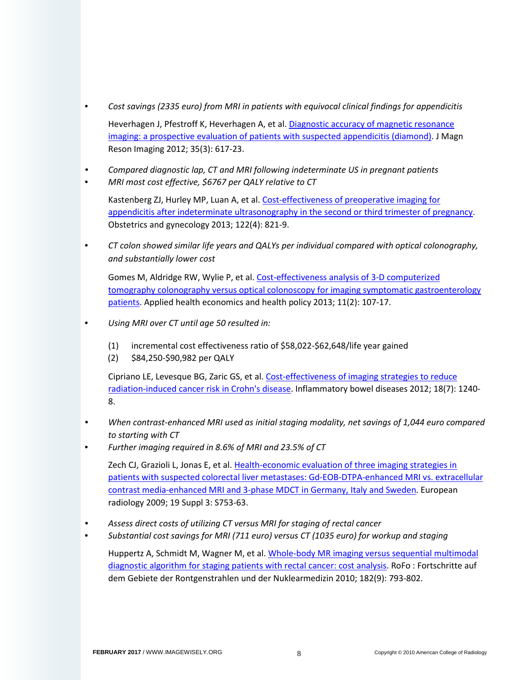- *Cost savings (2335 euro) from MRI in patients with equivocal clinical findings for appendicitis* Heverhagen J, Pfestroff K, Heverhagen A, et al[. Diagnostic accuracy of magnetic resonance](http://onlinelibrary.wiley.com/doi/10.1002/jmri.22854/full)  [imaging: a prospective evaluation of patients with suspected appendicitis \(diamond\).](http://onlinelibrary.wiley.com/doi/10.1002/jmri.22854/full) J Magn Reson Imaging 2012; 35(3): 617-23.
- *Compared diagnostic lap, CT and MRI following indeterminate US in pregnant patients*
- *MRI most cost effective, \$6767 per QALY relative to CT*

Kastenberg ZJ, Hurley MP, Luan A, et al[. Cost-effectiveness of preoperative imaging for](https://www.ncbi.nlm.nih.gov/pubmed/24084540)  [appendicitis after indeterminate ultrasonography in the second or third trimester of pregnancy.](https://www.ncbi.nlm.nih.gov/pubmed/24084540) Obstetrics and gynecology 2013; 122(4): 821-9.

• *CT colon showed similar life years and QALYs per individual compared with optical colonography, and substantially lower cost*

Gomes M, Aldridge RW, Wylie P, et al[. Cost-effectiveness analysis of 3-D computerized](https://ideas.repec.org/a/spr/aphecp/v11y2013i2p107-117.html)  [tomography colonography versus optical colonoscopy for imaging symptomatic gastroenterology](https://ideas.repec.org/a/spr/aphecp/v11y2013i2p107-117.html)  [patients.](https://ideas.repec.org/a/spr/aphecp/v11y2013i2p107-117.html) Applied health economics and health policy 2013; 11(2): 107-17.

- *Using MRI over CT until age 50 resulted in:*
	- (1) incremental cost effectiveness ratio of \$58,022-\$62,648/life year gained
	- (2) \$84,250-\$90,982 per QALY

Cipriano LE, Levesque BG, Zaric GS, et al. Cost-effectiveness of imaging strategies to reduce [radiation-induced cancer risk in Crohn's disease.](https://www.researchgate.net/publication/51652598_Cost-Effectiveness_of_Imaging_Strategies_to_Reduce_Radiation-Induced_Cancer_Risk_in_Crohns_Disease) Inflammatory bowel diseases 2012; 18(7): 1240- 8.

- *When contrast-enhanced MRI used as initial staging modality, net savings of 1,044 euro compared to starting with CT*
- *Further imaging required in 8.6% of MRI and 23.5% of CT*

Zech CJ, Grazioli L, Jonas E, et al. [Health-economic evaluation of three imaging strategies in](https://www.ncbi.nlm.nih.gov/pubmed/19484243)  [patients with suspected colorectal liver metastases: Gd-EOB-DTPA-enhanced MRI vs. extracellular](https://www.ncbi.nlm.nih.gov/pubmed/19484243)  [contrast media-enhanced MRI and 3-phase MDCT in Germany, Italy and Sweden.](https://www.ncbi.nlm.nih.gov/pubmed/19484243) European radiology 2009; 19 Suppl 3: S753-63.

- *Assess direct costs of utilizing CT versus MRI for staging of rectal cancer*
- *Substantial cost savings for MRI (711 euro) versus CT (1035 euro) for workup and staging*

Huppertz A, Schmidt M, Wagner M, et al. [Whole-body MR imaging versus sequential multimodal](https://www.ncbi.nlm.nih.gov/pubmed/20517819)  [diagnostic algorithm for staging patients with rectal cancer: cost analysis.](https://www.ncbi.nlm.nih.gov/pubmed/20517819) RoFo : Fortschritte auf dem Gebiete der Rontgenstrahlen und der Nuklearmedizin 2010; 182(9): 793-802.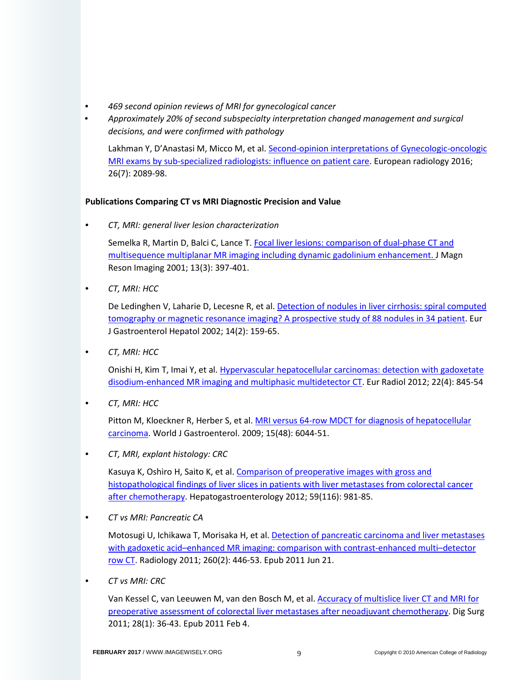- *469 second opinion reviews of MRI for gynecological cancer*
- *Approximately 20% of second subspecialty interpretation changed management and surgical decisions, and were confirmed with pathology*

Lakhman Y, D'Anastasi M, Micco M, et al[. Second-opinion interpretations of Gynecologic-oncologic](https://rd.springer.com/article/10.1007/s00330-015-4040-5)  [MRI exams by sub-specialized radiologists: influence on patient care.](https://rd.springer.com/article/10.1007/s00330-015-4040-5) European radiology 2016; 26(7): 2089-98.

# **Publications Comparing CT vs MRI Diagnostic Precision and Value**

• *CT, MRI: general liver lesion characterization*

Semelka R, Martin D, Balci C, Lance T[. Focal liver lesions: comparison of dual-phase CT and](https://www.ncbi.nlm.nih.gov/pubmed/11241813)  [multisequence multiplanar MR imaging including dynamic gadolinium enhancement.](https://www.ncbi.nlm.nih.gov/pubmed/11241813) [J Magn](http://www.ncbi.nlm.nih.gov/pubmed/11241813) [Reson](http://www.ncbi.nlm.nih.gov/pubmed/11241813) [Imaging](http://www.ncbi.nlm.nih.gov/pubmed/11241813) 2001; 13(3): 397-401.

• *CT, MRI: HCC*

De Ledinghen V, Laharie D, Lecesne R, et al. Detection of nodules in liver cirrhosis: spiral computed [tomography or magnetic resonance imaging? A prospective study of 88 nodules in 34 patient.](https://www.ncbi.nlm.nih.gov/pubmed/11981340) [Eur](http://www.ncbi.nlm.nih.gov/pubmed/11981340)  [J Gastroenterol Hepatol](http://www.ncbi.nlm.nih.gov/pubmed/11981340) 2002; 14(2): 159-65.

• *CT, MRI: HCC*

Onishi H, Kim T, Imai Y, et al. [Hypervascular hepatocellular carcinomas: detection with gadoxetate](https://www.ncbi.nlm.nih.gov/pubmed/22057248)  [disodium-enhanced MR imaging and multiphasic multidetector CT.](https://www.ncbi.nlm.nih.gov/pubmed/22057248) [Eur](http://www.ncbi.nlm.nih.gov/pubmed/22057248) [Radiol](http://www.ncbi.nlm.nih.gov/pubmed/22057248) 2012; 22(4): 845-54

• *CT, MRI: HCC*

Pitton M, Kloeckner R, Herber S, et al. MRI versus 64-row MDCT for diagnosis of hepatocellular [carcinoma.](https://www.ncbi.nlm.nih.gov/pubmed/20027676) [World J Gastroenterol.](http://www.ncbi.nlm.nih.gov/pubmed/20027676) 2009; 15(48): 6044-51.

• *CT, MRI, explant histology: CRC*

Kasuya K, Oshiro H, Saito K, et al. [Comparison of preoperative images with gross and](https://www.ncbi.nlm.nih.gov/pubmed/22456280)  [histopathological findings of liver slices in patients with liver metastases from colorectal cancer](https://www.ncbi.nlm.nih.gov/pubmed/22456280) [after chemotherapy.](https://www.ncbi.nlm.nih.gov/pubmed/22456280) [Hepatogastroenterology](http://www.ncbi.nlm.nih.gov/pubmed/22456280) 2012; 59(116): 981-85.

• *CT vs MRI: Pancreatic CA*

Motosugi U, Ichikawa T, Morisaka H, et al. [Detection of pancreatic carcinoma and liver metastases](http://pubs.rsna.org/doi/full/10.1148/radiol.11103548)  [with gadoxetic acid–enhanced MR imaging: comparison with contrast-enhanced multi–detector](http://pubs.rsna.org/doi/full/10.1148/radiol.11103548)  [row CT.](http://pubs.rsna.org/doi/full/10.1148/radiol.11103548) [Radiology](http://www.ncbi.nlm.nih.gov/pubmed/21693662) 2011; 260(2): 446-53. Epub 2011 Jun 21.

• *CT vs MRI: CRC*

Van Kessel C, van Leeuwen M, van den Bosch M, et al[. Accuracy of multislice liver CT and MRI for](https://www.ncbi.nlm.nih.gov/pubmed/21293130)  [preoperative assessment of colorectal liver metastases after neoadjuvant chemotherapy.](https://www.ncbi.nlm.nih.gov/pubmed/21293130) [Dig Surg](http://www.ncbi.nlm.nih.gov/pubmed/21293130) 2011; 28(1): 36-43. Epub 2011 Feb 4.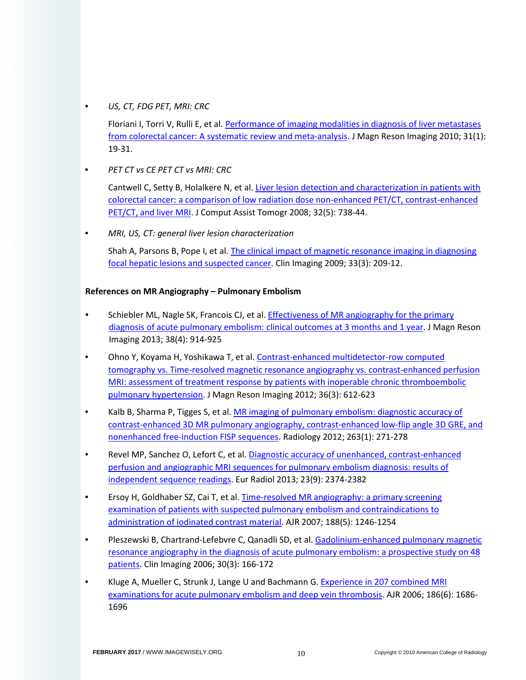• *US, CT, FDG PET, MRI: CRC*

Floriani I, Torri V, Rulli E, et al. [Performance of imaging modalities in diagnosis of liver metastases](http://onlinelibrary.wiley.com/doi/10.1002/jmri.22010/full)  [from colorectal cancer: A systematic review and meta-analysis.](http://onlinelibrary.wiley.com/doi/10.1002/jmri.22010/full) [J Magn](http://www.ncbi.nlm.nih.gov/pubmed/20027569) [Reson](http://www.ncbi.nlm.nih.gov/pubmed/20027569) [Imaging](http://www.ncbi.nlm.nih.gov/pubmed/20027569) 2010; 31(1): 19-31.

• *PET CT vs CE PET CT vs MRI: CRC*

Cantwell C, Setty B, Holalkere N, et al[. Liver lesion detection and characterization in patients with](https://www.ncbi.nlm.nih.gov/pubmed/18830103)  [colorectal cancer: a comparison of low radiation dose non-enhanced PET/CT, contrast-enhanced](https://www.ncbi.nlm.nih.gov/pubmed/18830103)  [PET/CT, and liver MRI.](https://www.ncbi.nlm.nih.gov/pubmed/18830103) [J Comput](http://www.ncbi.nlm.nih.gov/pubmed/18830103) [Assist Tomogr](http://www.ncbi.nlm.nih.gov/pubmed/18830103) 2008; 32(5): 738-44.

• *MRI, US, CT: general liver lesion characterization*

Shah A, Parsons B, Pope I, et al[. The clinical impact of magnetic resonance imaging in diagnosing](https://www.ncbi.nlm.nih.gov/pubmed/19411027)  [focal hepatic lesions and suspected cancer.](https://www.ncbi.nlm.nih.gov/pubmed/19411027) [Clin](http://www.ncbi.nlm.nih.gov/pubmed/19411027) [Imaging](http://www.ncbi.nlm.nih.gov/pubmed/19411027) 2009; 33(3): 209-12.

## **References on MR Angiography – Pulmonary Embolism**

- Schiebler ML, Nagle SK, Francois CJ, et al. **Effectiveness of MR angiography for the primary** [diagnosis of acute pulmonary embolism: clinical outcomes at 3 months and 1 year.](http://onlinelibrary.wiley.com/doi/10.1002/jmri.24057/full) J Magn Reson Imaging 2013; 38(4): 914-925
- Ohno Y, Koyama H, Yoshikawa T, et al. [Contrast-enhanced multidetector-row computed](http://onlinelibrary.wiley.com/doi/10.1002/jmri.23680/full)  [tomography vs. Time-resolved magnetic resonance angiography vs. contrast-enhanced perfusion](http://onlinelibrary.wiley.com/doi/10.1002/jmri.23680/full)  [MRI: assessment of treatment response by patients with inoperable chronic thromboembolic](http://onlinelibrary.wiley.com/doi/10.1002/jmri.23680/full)  [pulmonary hypertension.](http://onlinelibrary.wiley.com/doi/10.1002/jmri.23680/full) J Magn Reson Imaging 2012; 36(3): 612-623
- Kalb B, Sharma P, Tigges S, et al. MR imaging of pulmonary embolism: diagnostic accuracy of [contrast-enhanced 3D MR pulmonary angiography, contrast-enhanced low-flip angle 3D GRE, and](http://pubs.rsna.org/doi/pdf/10.1148/radiol.12110224)  [nonenhanced free-induction FISP sequences.](http://pubs.rsna.org/doi/pdf/10.1148/radiol.12110224) Radiology 2012; 263(1): 271-278
- Revel MP, Sanchez O, Lefort C, et al[. Diagnostic accuracy of unenhanced, contrast-enhanced](https://www.ncbi.nlm.nih.gov/pubmed/23652845)  [perfusion and angiographic MRI sequences for pulmonary embolism diagnosis: results of](https://www.ncbi.nlm.nih.gov/pubmed/23652845)  [independent sequence readings.](https://www.ncbi.nlm.nih.gov/pubmed/23652845) Eur Radiol 2013; 23(9): 2374-2382
- Ersoy H, Goldhaber SZ, Cai T, et al. Time-resolved MR angiography: a primary screening [examination of patients with suspected pulmonary embolism and contraindications to](http://www.ajronline.org/doi/full/10.2214/AJR.06.0901)  [administration of iodinated contrast material.](http://www.ajronline.org/doi/full/10.2214/AJR.06.0901) AJR 2007; 188(5): 1246-1254
- Pleszewski B, Chartrand-Lefebvre C, Qanadli SD, et al. [Gadolinium-enhanced pulmonary magnetic](http://europepmc.org/abstract/med/16632150)  [resonance angiography in the diagnosis of acute pulmonary embolism: a prospective study on 48](http://europepmc.org/abstract/med/16632150)  [patients.](http://europepmc.org/abstract/med/16632150) Clin Imaging 2006; 30(3): 166-172
- Kluge A, Mueller C, Strunk J, Lange U and Bachmann G[. Experience in 207 combined MRI](http://www.ajronline.org/doi/full/10.2214/AJR.05.0756)  [examinations for acute pulmonary embolism and deep vein thrombosis.](http://www.ajronline.org/doi/full/10.2214/AJR.05.0756) AJR 2006; 186(6): 1686- 1696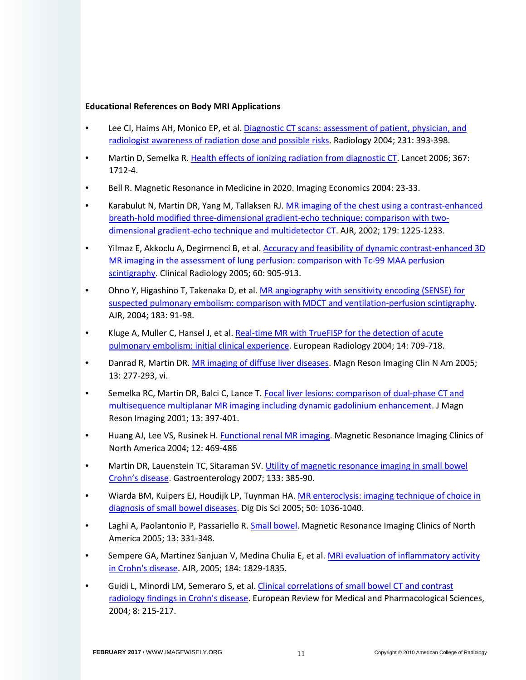## **Educational References on Body MRI Applications**

- Lee CI, Haims AH, Monico EP, et al. Diagnostic CT scans: assessment of patient, physician, and [radiologist awareness of radiation dose and possible risks.](http://pubs.rsna.org/doi/full/10.1148/radiol.2312030767) Radiology 2004; 231: 393-398.
- Martin D, Semelka R. [Health effects of ionizing radiation from diagnostic CT.](http://www.fda.gov/Drugs/DrugSafety/ucm223966.htm) Lancet 2006; 367: 1712-4.
- Bell R. Magnetic Resonance in Medicine in 2020. Imaging Economics 2004: 23-33.
- Karabulut N, Martin DR, Yang M, Tallaksen RJ. MR imaging of the chest using a contrast-enhanced [breath-hold modified three-dimensional gradient-echo technique: comparison with two](http://www.ajronline.org/doi/full/10.2214/ajr.179.5.1791225)[dimensional gradient-echo technique and multidetector CT.](http://www.ajronline.org/doi/full/10.2214/ajr.179.5.1791225) AJR, 2002; 179: 1225-1233.
- Yilmaz E, Akkoclu A, Degirmenci B, et al[. Accuracy and feasibility of dynamic contrast-enhanced 3D](https://www.ncbi.nlm.nih.gov/pubmed/16039926)  [MR imaging in the assessment of lung perfusion: comparison with Tc-99 MAA perfusion](https://www.ncbi.nlm.nih.gov/pubmed/16039926)  [scintigraphy.](https://www.ncbi.nlm.nih.gov/pubmed/16039926) Clinical Radiology 2005; 60: 905-913.
- Ohno Y, Higashino T, Takenaka D, et al. [MR angiography with sensitivity encoding \(SENSE\) for](http://www.ajronline.org/doi/full/10.2214/ajr.183.1.1830091)  [suspected pulmonary embolism: comparison with MDCT and ventilation-perfusion scintigraphy.](http://www.ajronline.org/doi/full/10.2214/ajr.183.1.1830091) AJR, 2004; 183: 91-98.
- Kluge A, Muller C, Hansel J, et al. [Real-time MR with TrueFISP for the detection of acute](https://link.springer.com/article/10.1007/s00330-003-2164-5)  [pulmonary embolism: initial clinical experience.](https://link.springer.com/article/10.1007/s00330-003-2164-5) European Radiology 2004; 14: 709-718.
- Danrad R, Martin DR[. MR imaging of diffuse liver diseases.](http://www.mri.theclinics.com/article/S1064-9689(05)00026-7/abstract) Magn Reson Imaging Clin N Am 2005; 13: 277-293, vi.
- Semelka RC, Martin DR, Balci C, Lance T[. Focal liver lesions: comparison of dual-phase CT and](http://onlinelibrary.wiley.com/doi/10.1002/jmri.1057/pdf)  [multisequence multiplanar MR imaging including dynamic gadolinium enhancement.](http://onlinelibrary.wiley.com/doi/10.1002/jmri.1057/pdf) J Magn Reson Imaging 2001; 13: 397-401.
- Huang AJ, Lee VS, Rusinek H. [Functional renal MR imaging.](http://www.mri.theclinics.com/article/S1064-9689(04)00048-0/abstract) Magnetic Resonance Imaging Clinics of North America 2004; 12: 469-486
- Martin DR, Lauenstein TC, Sitaraman SV. Utility of magnetic resonance imaging in small bowel [Crohn's disease.](http://www.gastrojournal.org/article/S0016-5085(07)01201-2/fulltext) Gastroenterology 2007; 133: 385-90.
- Wiarda BM, Kuipers EJ, Houdijk LP, Tuynman HA. MR enteroclysis: imaging technique of choice in [diagnosis of small bowel diseases.](https://www.ncbi.nlm.nih.gov/pubmed/15986850) Dig Dis Sci 2005; 50: 1036-1040.
- Laghi A, Paolantonio P, Passariello R. [Small bowel.](http://www.mri.theclinics.com/article/S1064-9689(05)00024-3/abstract) Magnetic Resonance Imaging Clinics of North America 2005; 13: 331-348.
- Sempere GA, Martinez Sanjuan V, Medina Chulia E, et al. MRI evaluation of inflammatory activity [in Crohn's disease.](http://www.ajronline.org/doi/full/10.2214/ajr.184.6.01841829) AJR, 2005; 184: 1829-1835.
- Guidi L, Minordi LM, Semeraro S, et al. [Clinical correlations of small bowel CT and contrast](http://www.europeanreview.org/wp/wp-content/uploads/136.pdf)  [radiology findings in Crohn's disease.](http://www.europeanreview.org/wp/wp-content/uploads/136.pdf) European Review for Medical and Pharmacological Sciences, 2004; 8: 215-217.